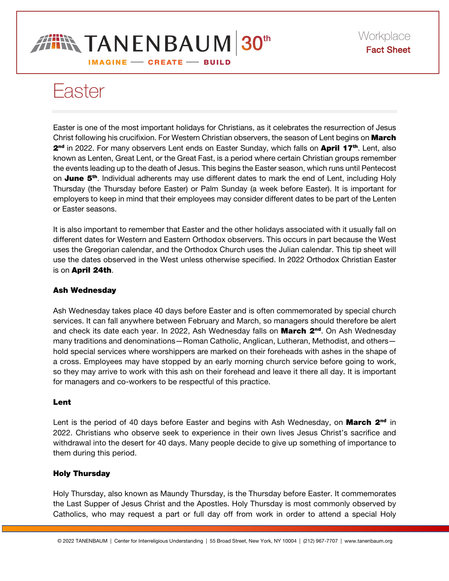# **IN TANENBAUM 30th IMAGINE - CREATE - BUILD**

Easter

Easter is one of the most important holidays for Christians, as it celebrates the resurrection of Jesus Christ following his crucifixion. For Western Christian observers, the season of Lent begins on March 2<sup>nd</sup> in 2022. For many observers Lent ends on Easter Sunday, which falls on April 17<sup>th</sup>. Lent, also known as Lenten, Great Lent, or the Great Fast, is a period where certain Christian groups remember the events leading up to the death of Jesus. This begins the Easter season, which runs until Pentecost on **June 5<sup>th</sup>**. Individual adherents may use different dates to mark the end of Lent, including Holy Thursday (the Thursday before Easter) or Palm Sunday (a week before Easter). It is important for employers to keep in mind that their employees may consider different dates to be part of the Lenten or Easter seasons.

It is also important to remember that Easter and the other holidays associated with it usually fall on different dates for Western and Eastern Orthodox observers. This occurs in part because the West uses the Gregorian calendar, and the Orthodox Church uses the Julian calendar. This tip sheet will use the dates observed in the West unless otherwise specified. In 2022 Orthodox Christian Easter is on April 24th.

## Ash Wednesday

Ash Wednesday takes place 40 days before Easter and is often commemorated by special church services. It can fall anywhere between February and March, so managers should therefore be alert and check its date each year. In 2022, Ash Wednesday falls on March 2<sup>nd</sup>. On Ash Wednesday many traditions and denominations—Roman Catholic, Anglican, Lutheran, Methodist, and others hold special services where worshippers are marked on their foreheads with ashes in the shape of a cross. Employees may have stopped by an early morning church service before going to work, so they may arrive to work with this ash on their forehead and leave it there all day. It is important for managers and co-workers to be respectful of this practice.

## Lent

Lent is the period of 40 days before Easter and begins with Ash Wednesday, on **March 2<sup>nd</sup>** in 2022. Christians who observe seek to experience in their own lives Jesus Christ's sacrifice and withdrawal into the desert for 40 days. Many people decide to give up something of importance to them during this period.

## Holy Thursday

Holy Thursday, also known as Maundy Thursday, is the Thursday before Easter. It commemorates the Last Supper of Jesus Christ and the Apostles. Holy Thursday is most commonly observed by Catholics, who may request a part or full day off from work in order to attend a special Holy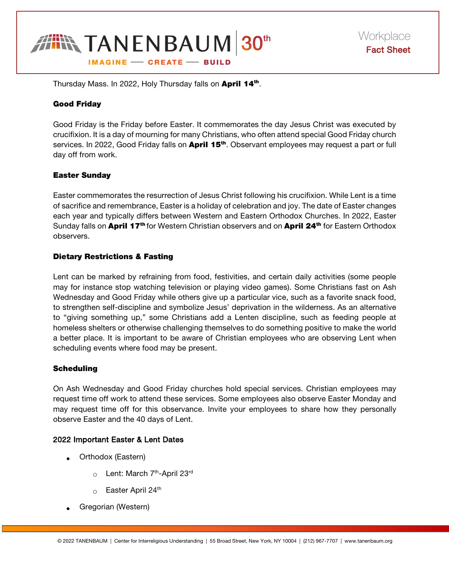

Thursday Mass. In 2022, Holy Thursday falls on April 14<sup>th</sup>.

#### Good Friday

Good Friday is the Friday before Easter. It commemorates the day Jesus Christ was executed by crucifixion. It is a day of mourning for many Christians, who often attend special Good Friday church services. In 2022, Good Friday falls on **April 15<sup>th</sup>**. Observant employees may request a part or full day off from work.

#### Easter Sunday

Easter commemorates the resurrection of Jesus Christ following his crucifixion. While Lent is a time of sacrifice and remembrance, Easter is a holiday of celebration and joy. The date of Easter changes each year and typically differs between Western and Eastern Orthodox Churches. In 2022, Easter Sunday falls on April 17<sup>th</sup> for Western Christian observers and on April 24<sup>th</sup> for Eastern Orthodox observers.

## Dietary Restrictions & Fasting

Lent can be marked by refraining from food, festivities, and certain daily activities (some people may for instance stop watching television or playing video games). Some Christians fast on Ash Wednesday and Good Friday while others give up a particular vice, such as a favorite snack food, to strengthen self-discipline and symbolize Jesus' deprivation in the wilderness. As an alternative to "giving something up," some Christians add a Lenten discipline, such as feeding people at homeless shelters or otherwise challenging themselves to do something positive to make the world a better place. It is important to be aware of Christian employees who are observing Lent when scheduling events where food may be present.

#### **Scheduling**

On Ash Wednesday and Good Friday churches hold special services. Christian employees may request time off work to attend these services. Some employees also observe Easter Monday and may request time off for this observance. Invite your employees to share how they personally observe Easter and the 40 days of Lent.

#### 2022 Important Easter & Lent Dates

- Orthodox (Eastern)
	- $\circ$  Lent: March 7<sup>th</sup>-April 23<sup>rd</sup>
	- $\circ$  Easter April 24<sup>th</sup>
- Gregorian (Western)